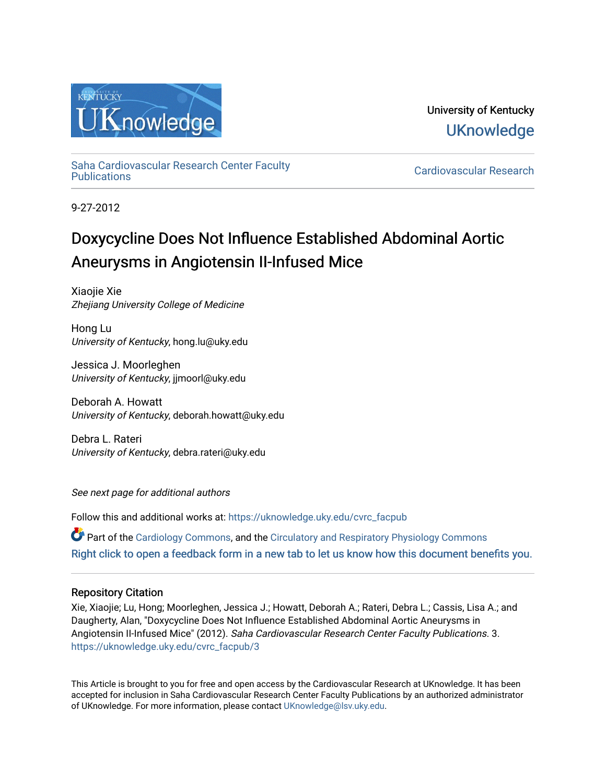

University of Kentucky **UKnowledge** 

[Saha Cardiovascular Research Center Faculty](https://uknowledge.uky.edu/cvrc_facpub)

Cardiovascular Research

9-27-2012

# Doxycycline Does Not Influence Established Abdominal Aortic Aneurysms in Angiotensin II-Infused Mice

Xiaojie Xie Zhejiang University College of Medicine

Hong Lu University of Kentucky, hong.lu@uky.edu

Jessica J. Moorleghen University of Kentucky, jjmoorl@uky.edu

Deborah A. Howatt University of Kentucky, deborah.howatt@uky.edu

Debra L. Rateri University of Kentucky, debra.rateri@uky.edu

See next page for additional authors

Follow this and additional works at: [https://uknowledge.uky.edu/cvrc\\_facpub](https://uknowledge.uky.edu/cvrc_facpub?utm_source=uknowledge.uky.edu%2Fcvrc_facpub%2F3&utm_medium=PDF&utm_campaign=PDFCoverPages)

Part of the [Cardiology Commons](http://network.bepress.com/hgg/discipline/683?utm_source=uknowledge.uky.edu%2Fcvrc_facpub%2F3&utm_medium=PDF&utm_campaign=PDFCoverPages), and the [Circulatory and Respiratory Physiology Commons](http://network.bepress.com/hgg/discipline/947?utm_source=uknowledge.uky.edu%2Fcvrc_facpub%2F3&utm_medium=PDF&utm_campaign=PDFCoverPages)  [Right click to open a feedback form in a new tab to let us know how this document benefits you.](https://uky.az1.qualtrics.com/jfe/form/SV_9mq8fx2GnONRfz7)

## Repository Citation

Xie, Xiaojie; Lu, Hong; Moorleghen, Jessica J.; Howatt, Deborah A.; Rateri, Debra L.; Cassis, Lisa A.; and Daugherty, Alan, "Doxycycline Does Not Influence Established Abdominal Aortic Aneurysms in Angiotensin II-Infused Mice" (2012). Saha Cardiovascular Research Center Faculty Publications. 3. [https://uknowledge.uky.edu/cvrc\\_facpub/3](https://uknowledge.uky.edu/cvrc_facpub/3?utm_source=uknowledge.uky.edu%2Fcvrc_facpub%2F3&utm_medium=PDF&utm_campaign=PDFCoverPages)

This Article is brought to you for free and open access by the Cardiovascular Research at UKnowledge. It has been accepted for inclusion in Saha Cardiovascular Research Center Faculty Publications by an authorized administrator of UKnowledge. For more information, please contact [UKnowledge@lsv.uky.edu.](mailto:UKnowledge@lsv.uky.edu)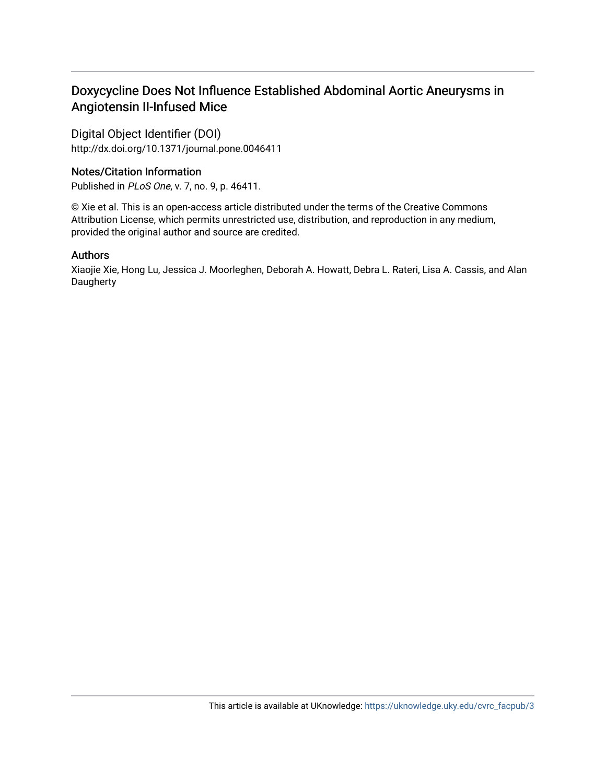## Doxycycline Does Not Influence Established Abdominal Aortic Aneurysms in Angiotensin II-Infused Mice

Digital Object Identifier (DOI) http://dx.doi.org/10.1371/journal.pone.0046411

## Notes/Citation Information

Published in PLoS One, v. 7, no. 9, p. 46411.

© Xie et al. This is an open-access article distributed under the terms of the Creative Commons Attribution License, which permits unrestricted use, distribution, and reproduction in any medium, provided the original author and source are credited.

## Authors

Xiaojie Xie, Hong Lu, Jessica J. Moorleghen, Deborah A. Howatt, Debra L. Rateri, Lisa A. Cassis, and Alan **Daugherty**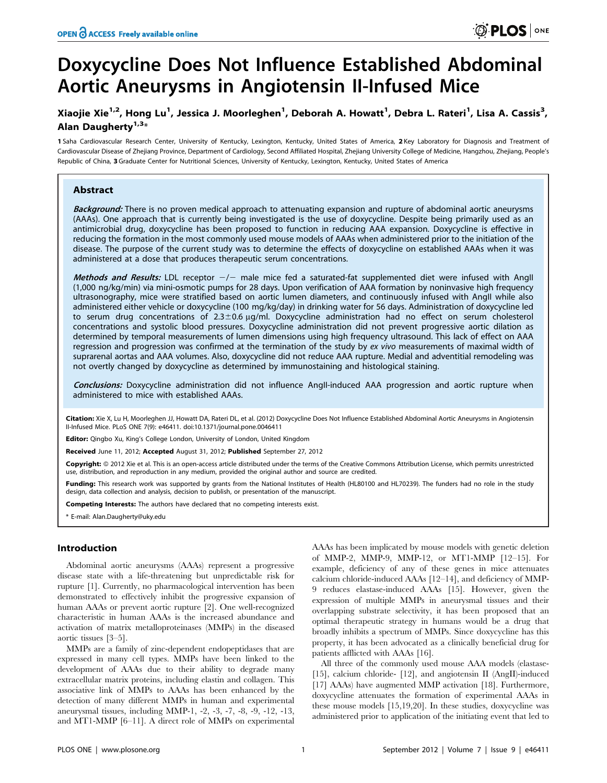## Doxycycline Does Not Influence Established Abdominal Aortic Aneurysms in Angiotensin II-Infused Mice

### Xiaojie Xie<sup>1,2</sup>, Hong Lu<sup>1</sup>, Jessica J. Moorleghen<sup>1</sup>, Deborah A. Howatt<sup>1</sup>, Debra L. Rateri<sup>1</sup>, Lisa A. Cassis<sup>3</sup>, Alan Daugherty $1,3*$

1 Saha Cardiovascular Research Center, University of Kentucky, Lexington, Kentucky, United States of America, 2 Key Laboratory for Diagnosis and Treatment of Cardiovascular Disease of Zhejiang Province, Department of Cardiology, Second Affiliated Hospital, Zhejiang University College of Medicine, Hangzhou, Zhejiang, People's Republic of China, 3 Graduate Center for Nutritional Sciences, University of Kentucky, Lexington, Kentucky, United States of America

#### Abstract

Background: There is no proven medical approach to attenuating expansion and rupture of abdominal aortic aneurysms (AAAs). One approach that is currently being investigated is the use of doxycycline. Despite being primarily used as an antimicrobial drug, doxycycline has been proposed to function in reducing AAA expansion. Doxycycline is effective in reducing the formation in the most commonly used mouse models of AAAs when administered prior to the initiation of the disease. The purpose of the current study was to determine the effects of doxycycline on established AAAs when it was administered at a dose that produces therapeutic serum concentrations.

Methods and Results: LDL receptor  $-/-$  male mice fed a saturated-fat supplemented diet were infused with AngII (1,000 ng/kg/min) via mini-osmotic pumps for 28 days. Upon verification of AAA formation by noninvasive high frequency ultrasonography, mice were stratified based on aortic lumen diameters, and continuously infused with AngII while also administered either vehicle or doxycycline (100 mg/kg/day) in drinking water for 56 days. Administration of doxycycline led to serum drug concentrations of  $2.3 \pm 0.6$   $\mu$ g/ml. Doxycycline administration had no effect on serum cholesterol concentrations and systolic blood pressures. Doxycycline administration did not prevent progressive aortic dilation as determined by temporal measurements of lumen dimensions using high frequency ultrasound. This lack of effect on AAA regression and progression was confirmed at the termination of the study by ex vivo measurements of maximal width of suprarenal aortas and AAA volumes. Also, doxycycline did not reduce AAA rupture. Medial and adventitial remodeling was not overtly changed by doxycycline as determined by immunostaining and histological staining.

Conclusions: Doxycycline administration did not influence AngII-induced AAA progression and aortic rupture when administered to mice with established AAAs.

Citation: Xie X, Lu H, Moorleghen JJ, Howatt DA, Rateri DL, et al. (2012) Doxycycline Does Not Influence Established Abdominal Aortic Aneurysms in Angiotensin II-Infused Mice. PLoS ONE 7(9): e46411. doi:10.1371/journal.pone.0046411

Editor: Qingbo Xu, King's College London, University of London, United Kingdom

Received June 11, 2012; Accepted August 31, 2012; Published September 27, 2012

Copyright: © 2012 Xie et al. This is an open-access article distributed under the terms of the Creative Commons Attribution License, which permits unrestricted use, distribution, and reproduction in any medium, provided the original author and source are credited.

Funding: This research work was supported by grants from the National Institutes of Health (HL80100 and HL70239). The funders had no role in the study design, data collection and analysis, decision to publish, or presentation of the manuscript.

Competing Interests: The authors have declared that no competing interests exist.

\* E-mail: Alan.Daugherty@uky.edu

#### Introduction

Abdominal aortic aneurysms (AAAs) represent a progressive disease state with a life-threatening but unpredictable risk for rupture [1]. Currently, no pharmacological intervention has been demonstrated to effectively inhibit the progressive expansion of human AAAs or prevent aortic rupture [2]. One well-recognized characteristic in human AAAs is the increased abundance and activation of matrix metalloproteinases (MMPs) in the diseased aortic tissues [3–5].

MMPs are a family of zinc-dependent endopeptidases that are expressed in many cell types. MMPs have been linked to the development of AAAs due to their ability to degrade many extracellular matrix proteins, including elastin and collagen. This associative link of MMPs to AAAs has been enhanced by the detection of many different MMPs in human and experimental aneurysmal tissues, including MMP-1, -2, -3, -7, -8, -9, -12, -13, and MT1-MMP [6–11]. A direct role of MMPs on experimental

AAAs has been implicated by mouse models with genetic deletion of MMP-2, MMP-9, MMP-12, or MT1-MMP [12–15]. For example, deficiency of any of these genes in mice attenuates calcium chloride-induced AAAs [12–14], and deficiency of MMP-9 reduces elastase-induced AAAs [15]. However, given the expression of multiple MMPs in aneurysmal tissues and their overlapping substrate selectivity, it has been proposed that an optimal therapeutic strategy in humans would be a drug that broadly inhibits a spectrum of MMPs. Since doxycycline has this property, it has been advocated as a clinically beneficial drug for patients afflicted with AAAs [16].

All three of the commonly used mouse AAA models (elastase- [15], calcium chloride- [12], and angiotensin II (AngII)-induced [17] AAAs) have augmented MMP activation [18]. Furthermore, doxycycline attenuates the formation of experimental AAAs in these mouse models [15,19,20]. In these studies, doxycycline was administered prior to application of the initiating event that led to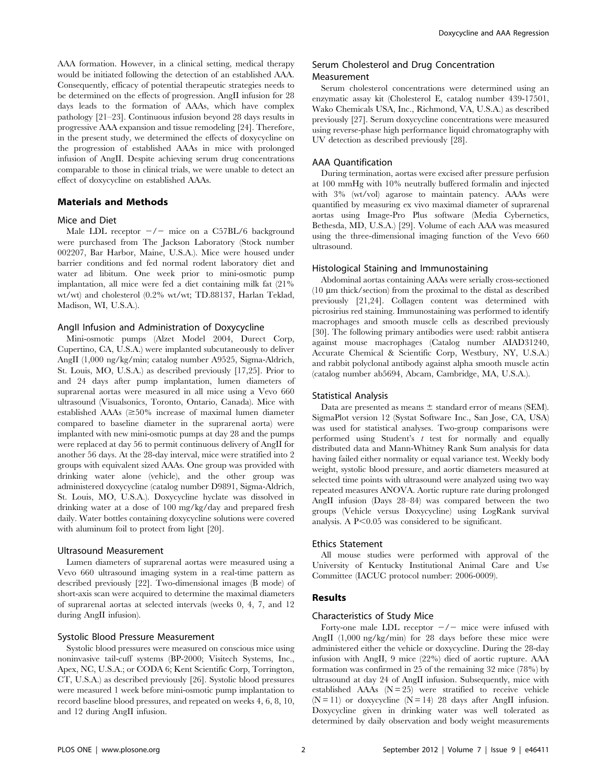AAA formation. However, in a clinical setting, medical therapy would be initiated following the detection of an established AAA. Consequently, efficacy of potential therapeutic strategies needs to be determined on the effects of progression. AngII infusion for 28 days leads to the formation of AAAs, which have complex pathology [21–23]. Continuous infusion beyond 28 days results in progressive AAA expansion and tissue remodeling [24]. Therefore, in the present study, we determined the effects of doxycycline on the progression of established AAAs in mice with prolonged infusion of AngII. Despite achieving serum drug concentrations comparable to those in clinical trials, we were unable to detect an effect of doxycycline on established AAAs.

#### Materials and Methods

#### Mice and Diet

Male LDL receptor  $-\prime$  mice on a C57BL/6 background were purchased from The Jackson Laboratory (Stock number 002207, Bar Harbor, Maine, U.S.A.). Mice were housed under barrier conditions and fed normal rodent laboratory diet and water ad libitum. One week prior to mini-osmotic pump implantation, all mice were fed a diet containing milk fat (21% wt/wt) and cholesterol (0.2% wt/wt; TD.88137, Harlan Teklad, Madison, WI, U.S.A.).

#### AngII Infusion and Administration of Doxycycline

Mini-osmotic pumps (Alzet Model 2004, Durect Corp, Cupertino, CA, U.S.A.) were implanted subcutaneously to deliver AngII (1,000 ng/kg/min; catalog number A9525, Sigma-Aldrich, St. Louis, MO, U.S.A.) as described previously [17,25]. Prior to and 24 days after pump implantation, lumen diameters of suprarenal aortas were measured in all mice using a Vevo 660 ultrasound (Visualsonics, Toronto, Ontario, Canada). Mice with established AAAs  $(\geq 50\%$  increase of maximal lumen diameter compared to baseline diameter in the suprarenal aorta) were implanted with new mini-osmotic pumps at day 28 and the pumps were replaced at day 56 to permit continuous delivery of AngII for another 56 days. At the 28-day interval, mice were stratified into 2 groups with equivalent sized AAAs. One group was provided with drinking water alone (vehicle), and the other group was administered doxycycline (catalog number D9891, Sigma-Aldrich, St. Louis, MO, U.S.A.). Doxycycline hyclate was dissolved in drinking water at a dose of 100 mg/kg/day and prepared fresh daily. Water bottles containing doxycycline solutions were covered with aluminum foil to protect from light [20].

#### Ultrasound Measurement

Lumen diameters of suprarenal aortas were measured using a Vevo 660 ultrasound imaging system in a real-time pattern as described previously [22]. Two-dimensional images (B mode) of short-axis scan were acquired to determine the maximal diameters of suprarenal aortas at selected intervals (weeks 0, 4, 7, and 12 during AngII infusion).

#### Systolic Blood Pressure Measurement

Systolic blood pressures were measured on conscious mice using noninvasive tail-cuff systems (BP-2000; Visitech Systems, Inc., Apex, NC, U.S.A.; or CODA 6; Kent Scientific Corp, Torrington, CT, U.S.A.) as described previously [26]. Systolic blood pressures were measured 1 week before mini-osmotic pump implantation to record baseline blood pressures, and repeated on weeks 4, 6, 8, 10, and 12 during AngII infusion.

#### Serum Cholesterol and Drug Concentration Measurement

Serum cholesterol concentrations were determined using an enzymatic assay kit (Cholesterol E, catalog number 439-17501, Wako Chemicals USA, Inc., Richmond, VA, U.S.A.) as described previously [27]. Serum doxycycline concentrations were measured using reverse-phase high performance liquid chromatography with UV detection as described previously [28].

#### AAA Quantification

During termination, aortas were excised after pressure perfusion at 100 mmHg with 10% neutrally buffered formalin and injected with 3% (wt/vol) agarose to maintain patency. AAAs were quantified by measuring ex vivo maximal diameter of suprarenal aortas using Image-Pro Plus software (Media Cybernetics, Bethesda, MD, U.S.A.) [29]. Volume of each AAA was measured using the three-dimensional imaging function of the Vevo 660 ultrasound.

#### Histological Staining and Immunostaining

Abdominal aortas containing AAAs were serially cross-sectioned  $(10 \mu m)$  thick/section) from the proximal to the distal as described previously [21,24]. Collagen content was determined with picrosirius red staining. Immunostaining was performed to identify macrophages and smooth muscle cells as described previously [30]. The following primary antibodies were used: rabbit antisera against mouse macrophages (Catalog number AIAD31240, Accurate Chemical & Scientific Corp, Westbury, NY, U.S.A.) and rabbit polyclonal antibody against alpha smooth muscle actin (catalog number ab5694, Abcam, Cambridge, MA, U.S.A.).

#### Statistical Analysis

Data are presented as means  $\pm$  standard error of means (SEM). SigmaPlot version 12 (Systat Software Inc., San Jose, CA, USA) was used for statistical analyses. Two-group comparisons were performed using Student's  $t$  test for normally and equally distributed data and Mann-Whitney Rank Sum analysis for data having failed either normality or equal variance test. Weekly body weight, systolic blood pressure, and aortic diameters measured at selected time points with ultrasound were analyzed using two way repeated measures ANOVA. Aortic rupture rate during prolonged AngII infusion (Days 28–84) was compared between the two groups (Vehicle versus Doxycycline) using LogRank survival analysis. A  $P<0.05$  was considered to be significant.

#### Ethics Statement

All mouse studies were performed with approval of the University of Kentucky Institutional Animal Care and Use Committee (IACUC protocol number: 2006-0009).

#### Results

#### Characteristics of Study Mice

Forty-one male LDL receptor  $-\prime$  mice were infused with AngII (1,000 ng/kg/min) for 28 days before these mice were administered either the vehicle or doxycycline. During the 28-day infusion with AngII, 9 mice (22%) died of aortic rupture. AAA formation was confirmed in 25 of the remaining 32 mice (78%) by ultrasound at day 24 of AngII infusion. Subsequently, mice with established AAAs  $(N = 25)$  were stratified to receive vehicle  $(N = 11)$  or doxycycline  $(N = 14)$  28 days after AngII infusion. Doxycycline given in drinking water was well tolerated as determined by daily observation and body weight measurements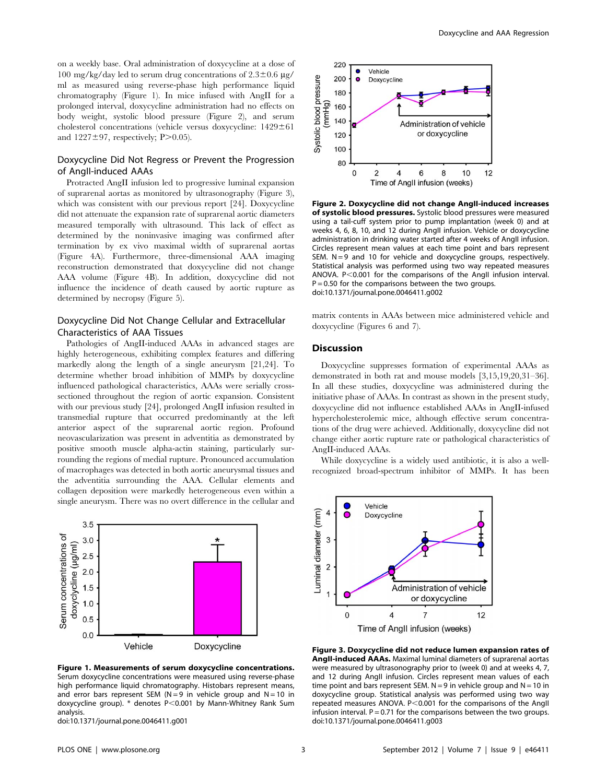on a weekly base. Oral administration of doxycycline at a dose of 100 mg/kg/day led to serum drug concentrations of  $2.3\pm0.6$  µg/ ml as measured using reverse-phase high performance liquid chromatography (Figure 1). In mice infused with AngII for a prolonged interval, doxycycline administration had no effects on body weight, systolic blood pressure (Figure 2), and serum cholesterol concentrations (vehicle versus doxycycline:  $1429 \pm 61$ and  $1227 \pm 97$ , respectively; P $> 0.05$ ).

#### Doxycycline Did Not Regress or Prevent the Progression of AngII-induced AAAs

Protracted AngII infusion led to progressive luminal expansion of suprarenal aortas as monitored by ultrasonography (Figure 3), which was consistent with our previous report [24]. Doxycycline did not attenuate the expansion rate of suprarenal aortic diameters measured temporally with ultrasound. This lack of effect as determined by the noninvasive imaging was confirmed after termination by ex vivo maximal width of suprarenal aortas (Figure 4A). Furthermore, three-dimensional AAA imaging reconstruction demonstrated that doxycycline did not change AAA volume (Figure 4B). In addition, doxycycline did not influence the incidence of death caused by aortic rupture as determined by necropsy (Figure 5).

#### Doxycycline Did Not Change Cellular and Extracellular Characteristics of AAA Tissues

Pathologies of AngII-induced AAAs in advanced stages are highly heterogeneous, exhibiting complex features and differing markedly along the length of a single aneurysm [21,24]. To determine whether broad inhibition of MMPs by doxycycline influenced pathological characteristics, AAAs were serially crosssectioned throughout the region of aortic expansion. Consistent with our previous study [24], prolonged AngII infusion resulted in transmedial rupture that occurred predominantly at the left anterior aspect of the suprarenal aortic region. Profound neovascularization was present in adventitia as demonstrated by positive smooth muscle alpha-actin staining, particularly surrounding the regions of medial rupture. Pronounced accumulation of macrophages was detected in both aortic aneurysmal tissues and the adventitia surrounding the AAA. Cellular elements and collagen deposition were markedly heterogeneous even within a single aneurysm. There was no overt difference in the cellular and



Figure 1. Measurements of serum doxycycline concentrations. Serum doxycycline concentrations were measured using reverse-phase high performance liquid chromatography. Histobars represent means, and error bars represent SEM ( $N = 9$  in vehicle group and  $N = 10$  in doxycycline group). \* denotes P<0.001 by Mann-Whitney Rank Sum analysis.

doi:10.1371/journal.pone.0046411.g001



Figure 2. Doxycycline did not change AngII-induced increases of systolic blood pressures. Systolic blood pressures were measured using a tail-cuff system prior to pump implantation (week 0) and at weeks 4, 6, 8, 10, and 12 during AngII infusion. Vehicle or doxycycline administration in drinking water started after 4 weeks of AngII infusion. Circles represent mean values at each time point and bars represent SEM.  $N = 9$  and 10 for vehicle and doxycycline groups, respectively. Statistical analysis was performed using two way repeated measures ANOVA.  $P < 0.001$  for the comparisons of the AngII infusion interval.  $P = 0.50$  for the comparisons between the two groups. doi:10.1371/journal.pone.0046411.g002

matrix contents in AAAs between mice administered vehicle and doxycycline (Figures 6 and 7).

#### Discussion

Doxycycline suppresses formation of experimental AAAs as demonstrated in both rat and mouse models [3,15,19,20,31–36]. In all these studies, doxycycline was administered during the initiative phase of AAAs. In contrast as shown in the present study, doxycycline did not influence established AAAs in AngII-infused hypercholesterolemic mice, although effective serum concentrations of the drug were achieved. Additionally, doxycycline did not change either aortic rupture rate or pathological characteristics of AngII-induced AAAs.

While doxycycline is a widely used antibiotic, it is also a wellrecognized broad-spectrum inhibitor of MMPs. It has been



Figure 3. Doxycycline did not reduce lumen expansion rates of AngII-induced AAAs. Maximal luminal diameters of suprarenal aortas were measured by ultrasonography prior to (week 0) and at weeks 4, 7, and 12 during AngII infusion. Circles represent mean values of each time point and bars represent SEM.  $N = 9$  in vehicle group and  $N = 10$  in doxycycline group. Statistical analysis was performed using two way repeated measures ANOVA.  $P < 0.001$  for the comparisons of the AngII infusion interval.  $P = 0.71$  for the comparisons between the two groups. doi:10.1371/journal.pone.0046411.g003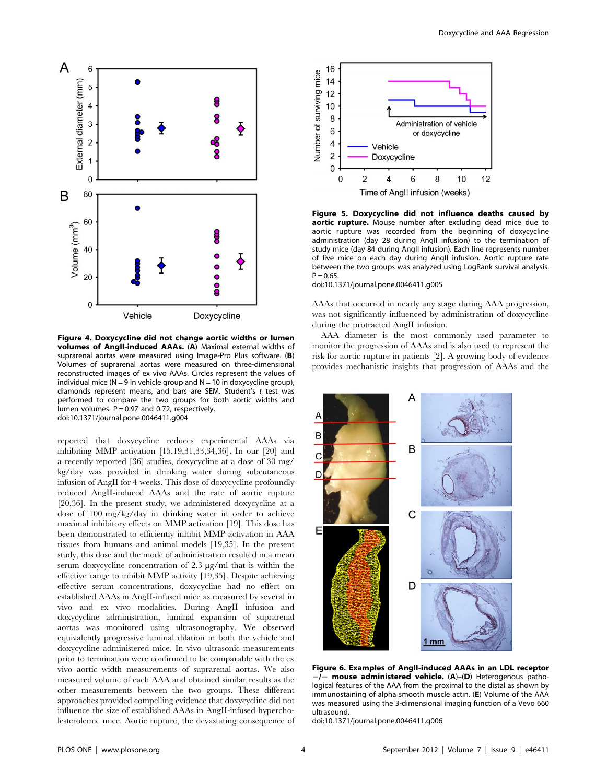

Figure 4. Doxycycline did not change aortic widths or lumen volumes of AngII-induced AAAs. (A) Maximal external widths of suprarenal aortas were measured using Image-Pro Plus software. (B) Volumes of suprarenal aortas were measured on three-dimensional reconstructed images of ex vivo AAAs. Circles represent the values of individual mice ( $N = 9$  in vehicle group and  $N = 10$  in doxycycline group), diamonds represent means, and bars are SEM. Student's t test was performed to compare the two groups for both aortic widths and lumen volumes.  $P = 0.97$  and 0.72, respectively. doi:10.1371/journal.pone.0046411.g004

reported that doxycycline reduces experimental AAAs via inhibiting MMP activation [15,19,31,33,34,36]. In our [20] and a recently reported [36] studies, doxycycline at a dose of 30 mg/ kg/day was provided in drinking water during subcutaneous infusion of AngII for 4 weeks. This dose of doxycycline profoundly reduced AngII-induced AAAs and the rate of aortic rupture [20,36]. In the present study, we administered doxycycline at a dose of 100 mg/kg/day in drinking water in order to achieve maximal inhibitory effects on MMP activation [19]. This dose has been demonstrated to efficiently inhibit MMP activation in AAA tissues from humans and animal models [19,35]. In the present study, this dose and the mode of administration resulted in a mean serum doxycycline concentration of  $2.3 \mu g/ml$  that is within the effective range to inhibit MMP activity [19,35]. Despite achieving effective serum concentrations, doxycycline had no effect on established AAAs in AngII-infused mice as measured by several in vivo and ex vivo modalities. During AngII infusion and doxycycline administration, luminal expansion of suprarenal aortas was monitored using ultrasonography. We observed equivalently progressive luminal dilation in both the vehicle and doxycycline administered mice. In vivo ultrasonic measurements prior to termination were confirmed to be comparable with the ex vivo aortic width measurements of suprarenal aortas. We also measured volume of each AAA and obtained similar results as the other measurements between the two groups. These different approaches provided compelling evidence that doxycycline did not influence the size of established AAAs in AngII-infused hypercholesterolemic mice. Aortic rupture, the devastating consequence of



Figure 5. Doxycycline did not influence deaths caused by **aortic rupture.** Mouse number after excluding dead mice due to aortic rupture was recorded from the beginning of doxycycline administration (day 28 during AngII infusion) to the termination of study mice (day 84 during AngII infusion). Each line represents number of live mice on each day during AngII infusion. Aortic rupture rate between the two groups was analyzed using LogRank survival analysis.  $P = 0.65$ .

doi:10.1371/journal.pone.0046411.g005

AAAs that occurred in nearly any stage during AAA progression, was not significantly influenced by administration of doxycycline during the protracted AngII infusion.

AAA diameter is the most commonly used parameter to monitor the progression of AAAs and is also used to represent the risk for aortic rupture in patients [2]. A growing body of evidence provides mechanistic insights that progression of AAAs and the



Figure 6. Examples of AngII-induced AAAs in an LDL receptor  $\overline{-/-}$  mouse administered vehicle. (A)–(D) Heterogenous pathological features of the AAA from the proximal to the distal as shown by immunostaining of alpha smooth muscle actin. (E) Volume of the AAA was measured using the 3-dimensional imaging function of a Vevo 660 ultrasound.

doi:10.1371/journal.pone.0046411.g006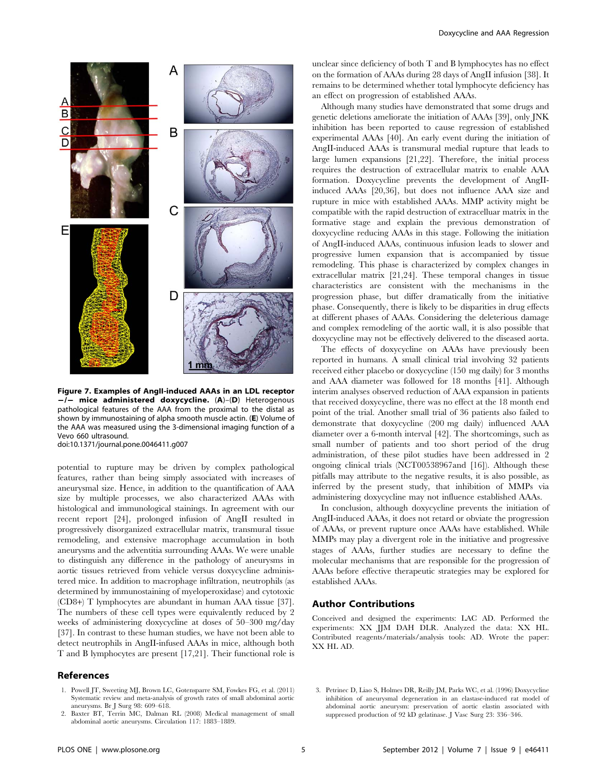

Figure 7. Examples of AngII-induced AAAs in an LDL receptor  $-/-$  mice administered doxycycline. (A)–(D) Heterogenous pathological features of the AAA from the proximal to the distal as shown by immunostaining of alpha smooth muscle actin. (E) Volume of the AAA was measured using the 3-dimensional imaging function of a Vevo 660 ultrasound.

doi:10.1371/journal.pone.0046411.g007

potential to rupture may be driven by complex pathological features, rather than being simply associated with increases of aneurysmal size. Hence, in addition to the quantification of AAA size by multiple processes, we also characterized AAAs with histological and immunological stainings. In agreement with our recent report [24], prolonged infusion of AngII resulted in progressively disorganized extracellular matrix, transmural tissue remodeling, and extensive macrophage accumulation in both aneurysms and the adventitia surrounding AAAs. We were unable to distinguish any difference in the pathology of aneurysms in aortic tissues retrieved from vehicle versus doxycycline administered mice. In addition to macrophage infiltration, neutrophils (as determined by immunostaining of myeloperoxidase) and cytotoxic (CD8+) T lymphocytes are abundant in human AAA tissue [37]. The numbers of these cell types were equivalently reduced by 2 weeks of administering doxycycline at doses of 50–300 mg/day [37]. In contrast to these human studies, we have not been able to detect neutrophils in AngII-infused AAAs in mice, although both T and B lymphocytes are present [17,21]. Their functional role is

#### References

- 1. Powell JT, Sweeting MJ, Brown LC, Gotensparre SM, Fowkes FG, et al. (2011) Systematic review and meta-analysis of growth rates of small abdominal aortic aneurysms. Br J Surg 98: 609–618.
- 2. Baxter BT, Terrin MC, Dalman RL (2008) Medical management of small abdominal aortic aneurysms. Circulation 117: 1883–1889.

unclear since deficiency of both T and B lymphocytes has no effect on the formation of AAAs during 28 days of AngII infusion [38]. It remains to be determined whether total lymphocyte deficiency has an effect on progression of established AAAs.

Although many studies have demonstrated that some drugs and genetic deletions ameliorate the initiation of AAAs [39], only JNK inhibition has been reported to cause regression of established experimental AAAs [40]. An early event during the initiation of AngII-induced AAAs is transmural medial rupture that leads to large lumen expansions [21,22]. Therefore, the initial process requires the destruction of extracellular matrix to enable AAA formation. Doxycycline prevents the development of AngIIinduced AAAs [20,36], but does not influence AAA size and rupture in mice with established AAAs. MMP activity might be compatible with the rapid destruction of extracelluar matrix in the formative stage and explain the previous demonstration of doxycycline reducing AAAs in this stage. Following the initiation of AngII-induced AAAs, continuous infusion leads to slower and progressive lumen expansion that is accompanied by tissue remodeling. This phase is characterized by complex changes in extracellular matrix [21,24]. These temporal changes in tissue characteristics are consistent with the mechanisms in the progression phase, but differ dramatically from the initiative phase. Consequently, there is likely to be disparities in drug effects at different phases of AAAs. Considering the deleterious damage and complex remodeling of the aortic wall, it is also possible that doxycycline may not be effectively delivered to the diseased aorta.

The effects of doxycycline on AAAs have previously been reported in humans. A small clinical trial involving 32 patients received either placebo or doxycycline (150 mg daily) for 3 months and AAA diameter was followed for 18 months [41]. Although interim analyses observed reduction of AAA expansion in patients that received doxycycline, there was no effect at the 18 month end point of the trial. Another small trial of 36 patients also failed to demonstrate that doxycycline (200 mg daily) influenced AAA diameter over a 6-month interval [42]. The shortcomings, such as small number of patients and too short period of the drug administration, of these pilot studies have been addressed in 2 ongoing clinical trials (NCT00538967and [16]). Although these pitfalls may attribute to the negative results, it is also possible, as inferred by the present study, that inhibition of MMPs via administering doxycycline may not influence established AAAs.

In conclusion, although doxycycline prevents the initiation of AngII-induced AAAs, it does not retard or obviate the progression of AAAs, or prevent rupture once AAAs have established. While MMPs may play a divergent role in the initiative and progressive stages of AAAs, further studies are necessary to define the molecular mechanisms that are responsible for the progression of AAAs before effective therapeutic strategies may be explored for established AAAs.

#### Author Contributions

Conceived and designed the experiments: LAC AD. Performed the experiments: XX JJM DAH DLR. Analyzed the data: XX HL. Contributed reagents/materials/analysis tools: AD. Wrote the paper: XX HL AD.

<sup>3.</sup> Petrinec D, Liao S, Holmes DR, Reilly JM, Parks WC, et al. (1996) Doxycycline inhibition of aneurysmal degeneration in an elastase-induced rat model of abdominal aortic aneurysm: preservation of aortic elastin associated with suppressed production of 92 kD gelatinase. J Vasc Surg 23: 336–346.